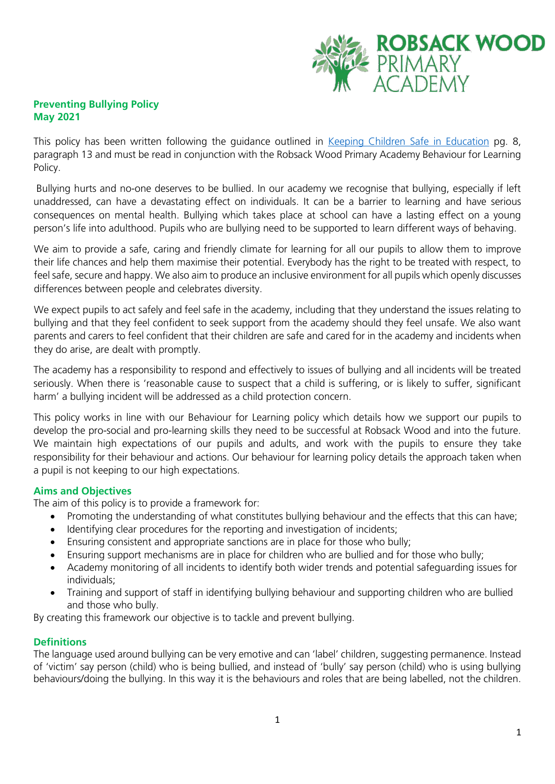#### **Preventing Bullying Policy May 2021**

This policy has been written following the guidance outlined in [Keeping Children Safe in Education](https://assets.publishing.service.gov.uk/government/uploads/system/uploads/attachment_data/file/1021914/KCSIE_2021_September_guidance.pdf) pg. 8, paragraph 13 and must be read in conjunction with the Robsack Wood Primary Academy Behaviour for Learning Policy.

Bullying hurts and no-one deserves to be bullied. In our academy we recognise that bullying, especially if left unaddressed, can have a devastating effect on individuals. It can be a barrier to learning and have serious consequences on mental health. Bullying which takes place at school can have a lasting effect on a young person's life into adulthood. Pupils who are bullying need to be supported to learn different ways of behaving.

We aim to provide a safe, caring and friendly climate for learning for all our pupils to allow them to improve their life chances and help them maximise their potential. Everybody has the right to be treated with respect, to feel safe, secure and happy. We also aim to produce an inclusive environment for all pupils which openly discusses differences between people and celebrates diversity.

We expect pupils to act safely and feel safe in the academy, including that they understand the issues relating to bullying and that they feel confident to seek support from the academy should they feel unsafe. We also want parents and carers to feel confident that their children are safe and cared for in the academy and incidents when they do arise, are dealt with promptly.

The academy has a responsibility to respond and effectively to issues of bullying and all incidents will be treated seriously. When there is 'reasonable cause to suspect that a child is suffering, or is likely to suffer, significant harm' a bullying incident will be addressed as a child protection concern.

This policy works in line with our Behaviour for Learning policy which details how we support our pupils to develop the pro-social and pro-learning skills they need to be successful at Robsack Wood and into the future. We maintain high expectations of our pupils and adults, and work with the pupils to ensure they take responsibility for their behaviour and actions. Our behaviour for learning policy details the approach taken when a pupil is not keeping to our high expectations.

### **Aims and Objectives**

The aim of this policy is to provide a framework for:

- Promoting the understanding of what constitutes bullying behaviour and the effects that this can have;
- Identifying clear procedures for the reporting and investigation of incidents;
- Ensuring consistent and appropriate sanctions are in place for those who bully;
- Ensuring support mechanisms are in place for children who are bullied and for those who bully;
- Academy monitoring of all incidents to identify both wider trends and potential safeguarding issues for individuals;
- Training and support of staff in identifying bullying behaviour and supporting children who are bullied and those who bully.

By creating this framework our objective is to tackle and prevent bullying.

#### **Definitions**

The language used around bullying can be very emotive and can 'label' children, suggesting permanence. Instead of 'victim' say person (child) who is being bullied, and instead of 'bully' say person (child) who is using bullying behaviours/doing the bullying. In this way it is the behaviours and roles that are being labelled, not the children.

**ROBSACK WOOD** 

PRIMARY<br>ACADEMY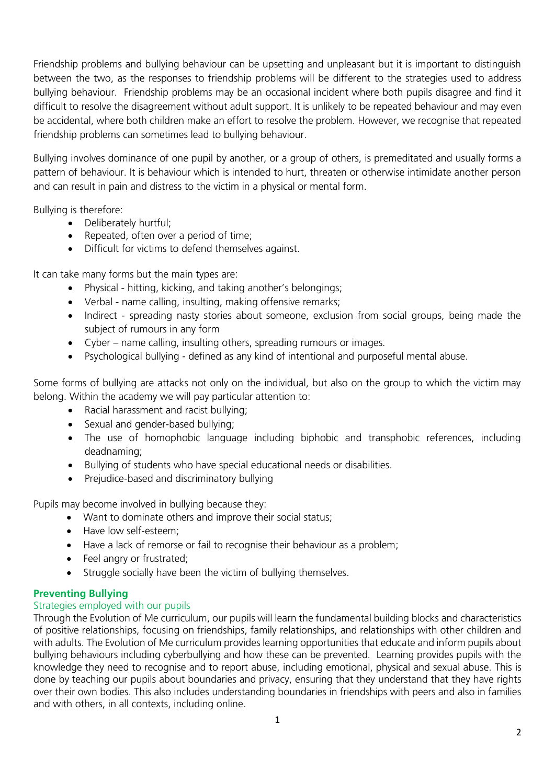Friendship problems and bullying behaviour can be upsetting and unpleasant but it is important to distinguish between the two, as the responses to friendship problems will be different to the strategies used to address bullying behaviour. Friendship problems may be an occasional incident where both pupils disagree and find it difficult to resolve the disagreement without adult support. It is unlikely to be repeated behaviour and may even be accidental, where both children make an effort to resolve the problem. However, we recognise that repeated friendship problems can sometimes lead to bullying behaviour.

Bullying involves dominance of one pupil by another, or a group of others, is premeditated and usually forms a pattern of behaviour. It is behaviour which is intended to hurt, threaten or otherwise intimidate another person and can result in pain and distress to the victim in a physical or mental form.

Bullying is therefore:

- Deliberately hurtful:
- Repeated, often over a period of time;
- Difficult for victims to defend themselves against.

It can take many forms but the main types are:

- Physical hitting, kicking, and taking another's belongings;
- Verbal name calling, insulting, making offensive remarks;
- Indirect spreading nasty stories about someone, exclusion from social groups, being made the subject of rumours in any form
- Cyber name calling, insulting others, spreading rumours or images.
- Psychological bullying defined as any kind of intentional and purposeful mental abuse.

Some forms of bullying are attacks not only on the individual, but also on the group to which the victim may belong. Within the academy we will pay particular attention to:

- Racial harassment and racist bullying;
- Sexual and gender-based bullying;
- The use of homophobic language including biphobic and transphobic references, including deadnaming;
- Bullying of students who have special educational needs or disabilities.
- Prejudice-based and discriminatory bullying

Pupils may become involved in bullying because they:

- Want to dominate others and improve their social status;
- Have low self-esteem:
- Have a lack of remorse or fail to recognise their behaviour as a problem;
- Feel angry or frustrated:
- Struggle socially have been the victim of bullying themselves.

# **Preventing Bullying**

# Strategies employed with our pupils

Through the Evolution of Me curriculum, our pupils will learn the fundamental building blocks and characteristics of positive relationships, focusing on friendships, family relationships, and relationships with other children and with adults. The Evolution of Me curriculum provides learning opportunities that educate and inform pupils about bullying behaviours including cyberbullying and how these can be prevented. Learning provides pupils with the knowledge they need to recognise and to report abuse, including emotional, physical and sexual abuse. This is done by teaching our pupils about boundaries and privacy, ensuring that they understand that they have rights over their own bodies. This also includes understanding boundaries in friendships with peers and also in families and with others, in all contexts, including online.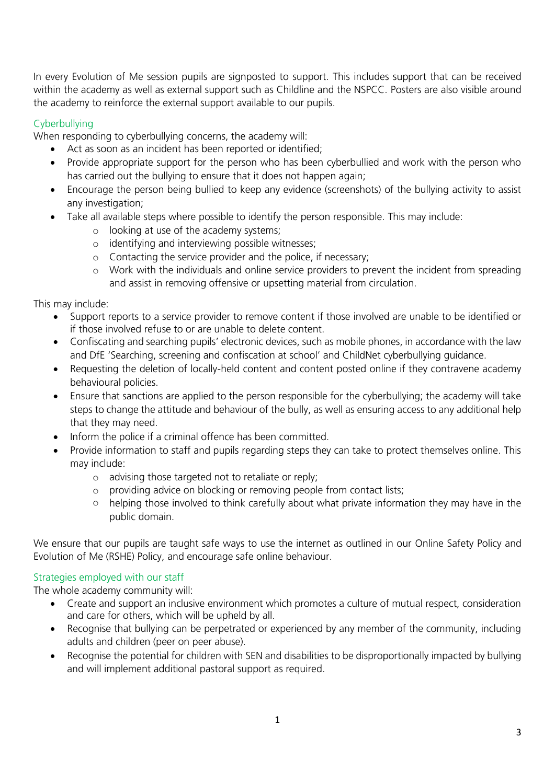In every Evolution of Me session pupils are signposted to support. This includes support that can be received within the academy as well as external support such as Childline and the NSPCC. Posters are also visible around the academy to reinforce the external support available to our pupils.

# **Cyberbullving**

When responding to cyberbullying concerns, the academy will:

- Act as soon as an incident has been reported or identified;
- Provide appropriate support for the person who has been cyberbullied and work with the person who has carried out the bullying to ensure that it does not happen again;
- Encourage the person being bullied to keep any evidence (screenshots) of the bullying activity to assist any investigation;
- Take all available steps where possible to identify the person responsible. This may include:
	- o looking at use of the academy systems;
	- o identifying and interviewing possible witnesses;
	- o Contacting the service provider and the police, if necessary;
	- o Work with the individuals and online service providers to prevent the incident from spreading and assist in removing offensive or upsetting material from circulation.

This may include:

- Support reports to a service provider to remove content if those involved are unable to be identified or if those involved refuse to or are unable to delete content.
- Confiscating and searching pupils' electronic devices, such as mobile phones, in accordance with the law and DfE 'Searching, screening and confiscation at school' and ChildNet cyberbullying guidance.
- Requesting the deletion of locally-held content and content posted online if they contravene academy behavioural policies.
- Ensure that sanctions are applied to the person responsible for the cyberbullying; the academy will take steps to change the attitude and behaviour of the bully, as well as ensuring access to any additional help that they may need.
- Inform the police if a criminal offence has been committed.
- Provide information to staff and pupils regarding steps they can take to protect themselves online. This may include:
	- o advising those targeted not to retaliate or reply;
	- o providing advice on blocking or removing people from contact lists;
	- o helping those involved to think carefully about what private information they may have in the public domain.

We ensure that our pupils are taught safe ways to use the internet as outlined in our Online Safety Policy and Evolution of Me (RSHE) Policy, and encourage safe online behaviour.

### Strategies employed with our staff

The whole academy community will:

- Create and support an inclusive environment which promotes a culture of mutual respect, consideration and care for others, which will be upheld by all.
- Recognise that bullying can be perpetrated or experienced by any member of the community, including adults and children (peer on peer abuse).
- Recognise the potential for children with SEN and disabilities to be disproportionally impacted by bullying and will implement additional pastoral support as required.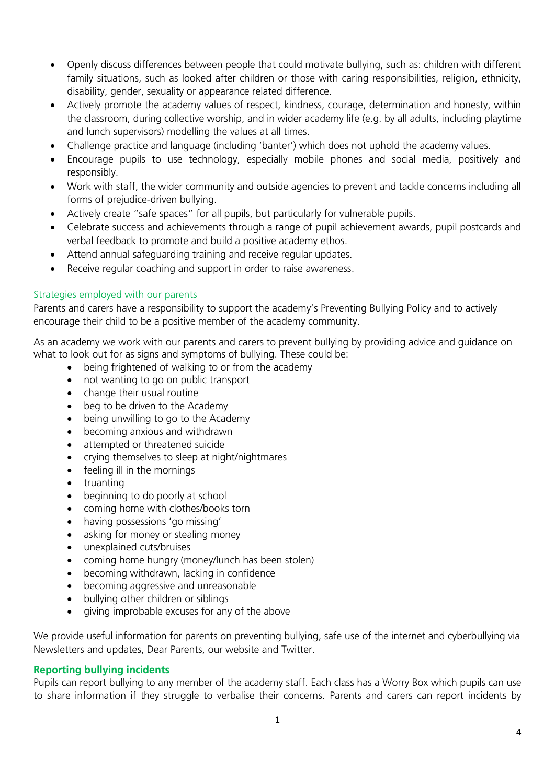- Openly discuss differences between people that could motivate bullying, such as: children with different family situations, such as looked after children or those with caring responsibilities, religion, ethnicity, disability, gender, sexuality or appearance related difference.
- Actively promote the academy values of respect, kindness, courage, determination and honesty, within the classroom, during collective worship, and in wider academy life (e.g. by all adults, including playtime and lunch supervisors) modelling the values at all times.
- Challenge practice and language (including 'banter') which does not uphold the academy values.
- Encourage pupils to use technology, especially mobile phones and social media, positively and responsibly.
- Work with staff, the wider community and outside agencies to prevent and tackle concerns including all forms of prejudice-driven bullying.
- Actively create "safe spaces" for all pupils, but particularly for vulnerable pupils.
- Celebrate success and achievements through a range of pupil achievement awards, pupil postcards and verbal feedback to promote and build a positive academy ethos.
- Attend annual safeguarding training and receive regular updates.
- Receive regular coaching and support in order to raise awareness.

#### Strategies employed with our parents

Parents and carers have a responsibility to support the academy's Preventing Bullying Policy and to actively encourage their child to be a positive member of the academy community.

As an academy we work with our parents and carers to prevent bullying by providing advice and guidance on what to look out for as signs and symptoms of bullying. These could be:

- being frightened of walking to or from the academy
- not wanting to go on public transport
- change their usual routine
- beg to be driven to the Academy
- being unwilling to go to the Academy
- becoming anxious and withdrawn
- attempted or threatened suicide
- crying themselves to sleep at night/nightmares
- feeling ill in the mornings
- truanting
- beginning to do poorly at school
- coming home with clothes/books torn
- having possessions 'go missing'
- asking for money or stealing money
- unexplained cuts/bruises
- coming home hungry (money/lunch has been stolen)
- becoming withdrawn, lacking in confidence
- becoming aggressive and unreasonable
- bullying other children or siblings
- giving improbable excuses for any of the above

We provide useful information for parents on preventing bullying, safe use of the internet and cyberbullying via Newsletters and updates, Dear Parents, our website and Twitter.

#### **Reporting bullying incidents**

Pupils can report bullying to any member of the academy staff. Each class has a Worry Box which pupils can use to share information if they struggle to verbalise their concerns. Parents and carers can report incidents by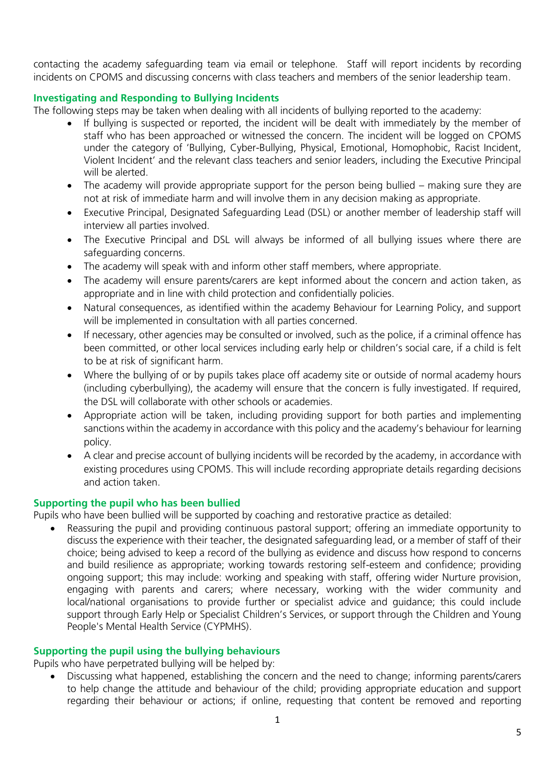contacting the academy safeguarding team via email or telephone. Staff will report incidents by recording incidents on CPOMS and discussing concerns with class teachers and members of the senior leadership team.

### **Investigating and Responding to Bullying Incidents**

The following steps may be taken when dealing with all incidents of bullying reported to the academy:

- If bullying is suspected or reported, the incident will be dealt with immediately by the member of staff who has been approached or witnessed the concern. The incident will be logged on CPOMS under the category of 'Bullying, Cyber-Bullying, Physical, Emotional, Homophobic, Racist Incident, Violent Incident' and the relevant class teachers and senior leaders, including the Executive Principal will be alerted.
- The academy will provide appropriate support for the person being bullied making sure they are not at risk of immediate harm and will involve them in any decision making as appropriate.
- Executive Principal, Designated Safeguarding Lead (DSL) or another member of leadership staff will interview all parties involved.
- The Executive Principal and DSL will always be informed of all bullying issues where there are safeguarding concerns.
- The academy will speak with and inform other staff members, where appropriate.
- The academy will ensure parents/carers are kept informed about the concern and action taken, as appropriate and in line with child protection and confidentially policies.
- Natural consequences, as identified within the academy Behaviour for Learning Policy, and support will be implemented in consultation with all parties concerned.
- If necessary, other agencies may be consulted or involved, such as the police, if a criminal offence has been committed, or other local services including early help or children's social care, if a child is felt to be at risk of significant harm.
- Where the bullying of or by pupils takes place off academy site or outside of normal academy hours (including cyberbullying), the academy will ensure that the concern is fully investigated. If required, the DSL will collaborate with other schools or academies.
- Appropriate action will be taken, including providing support for both parties and implementing sanctions within the academy in accordance with this policy and the academy's behaviour for learning policy.
- A clear and precise account of bullying incidents will be recorded by the academy, in accordance with existing procedures using CPOMS. This will include recording appropriate details regarding decisions and action taken.

#### **Supporting the pupil who has been bullied**

Pupils who have been bullied will be supported by coaching and restorative practice as detailed:

 Reassuring the pupil and providing continuous pastoral support; offering an immediate opportunity to discuss the experience with their teacher, the designated safeguarding lead, or a member of staff of their choice; being advised to keep a record of the bullying as evidence and discuss how respond to concerns and build resilience as appropriate; working towards restoring self-esteem and confidence; providing ongoing support; this may include: working and speaking with staff, offering wider Nurture provision, engaging with parents and carers; where necessary, working with the wider community and local/national organisations to provide further or specialist advice and guidance; this could include support through Early Help or Specialist Children's Services, or support through the Children and Young People's Mental Health Service (CYPMHS).

### **Supporting the pupil using the bullying behaviours**

Pupils who have perpetrated bullying will be helped by:

 Discussing what happened, establishing the concern and the need to change; informing parents/carers to help change the attitude and behaviour of the child; providing appropriate education and support regarding their behaviour or actions; if online, requesting that content be removed and reporting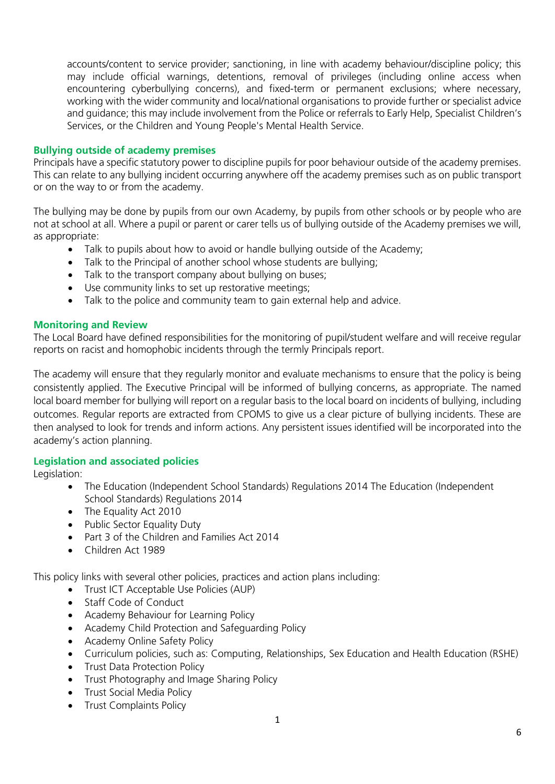accounts/content to service provider; sanctioning, in line with academy behaviour/discipline policy; this may include official warnings, detentions, removal of privileges (including online access when encountering cyberbullying concerns), and fixed-term or permanent exclusions; where necessary, working with the wider community and local/national organisations to provide further or specialist advice and guidance; this may include involvement from the Police or referrals to Early Help, Specialist Children's Services, or the Children and Young People's Mental Health Service.

### **Bullying outside of academy premises**

Principals have a specific statutory power to discipline pupils for poor behaviour outside of the academy premises. This can relate to any bullying incident occurring anywhere off the academy premises such as on public transport or on the way to or from the academy.

The bullying may be done by pupils from our own Academy, by pupils from other schools or by people who are not at school at all. Where a pupil or parent or carer tells us of bullying outside of the Academy premises we will, as appropriate:

- Talk to pupils about how to avoid or handle bullying outside of the Academy;
- Talk to the Principal of another school whose students are bullying;
- Talk to the transport company about bullying on buses;
- Use community links to set up restorative meetings;
- Talk to the police and community team to gain external help and advice.

#### **Monitoring and Review**

The Local Board have defined responsibilities for the monitoring of pupil/student welfare and will receive regular reports on racist and homophobic incidents through the termly Principals report.

The academy will ensure that they regularly monitor and evaluate mechanisms to ensure that the policy is being consistently applied. The Executive Principal will be informed of bullying concerns, as appropriate. The named local board member for bullying will report on a regular basis to the local board on incidents of bullying, including outcomes. Regular reports are extracted from CPOMS to give us a clear picture of bullying incidents. These are then analysed to look for trends and inform actions. Any persistent issues identified will be incorporated into the academy's action planning.

#### **Legislation and associated policies**

Legislation:

- The Education (Independent School Standards) Regulations 2014 The Education (Independent School Standards) Regulations 2014
- The Equality Act 2010
- Public Sector Equality Duty
- Part 3 of the Children and Families Act 2014
- Children Act 1989

This policy links with several other policies, practices and action plans including:

- Trust ICT Acceptable Use Policies (AUP)
- Staff Code of Conduct
- Academy Behaviour for Learning Policy
- Academy Child Protection and Safeguarding Policy
- Academy Online Safety Policy
- Curriculum policies, such as: Computing, Relationships, Sex Education and Health Education (RSHE)
- Trust Data Protection Policy
- Trust Photography and Image Sharing Policy
- Trust Social Media Policy
- Trust Complaints Policy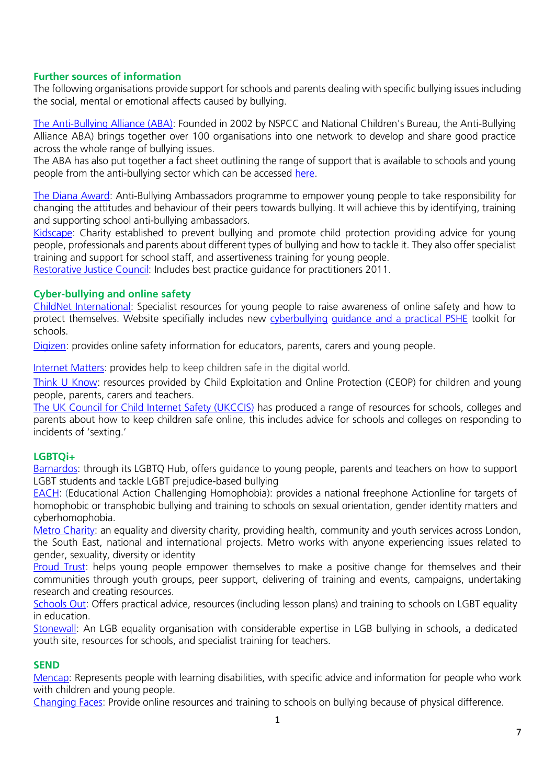### **Further sources of information**

The following organisations provide support for schools and parents dealing with specific bullying issues including the social, mental or emotional affects caused by bullying.

[The Anti-Bullying Alliance \(ABA\):](http://www.anti-bullyingalliance.org.uk/) Founded in 2002 by NSPCC and National Children's Bureau, the Anti-Bullying Alliance ABA) brings together over 100 organisations into one network to develop and share good practice across the whole range of bullying issues.

The ABA has also put together a fact sheet outlining the range of support that is available to schools and young people from the anti-bullying sector which can be accessed [here.](https://www.anti-bullyingalliance.org.uk/tools-information/all-about-bullying/choosing-anti-bullying-tools)

[The Diana Award:](http://diana-award.org.uk/) Anti-Bullying Ambassadors programme to empower young people to take responsibility for changing the attitudes and behaviour of their peers towards bullying. It will achieve this by identifying, training and supporting school anti-bullying ambassadors.

[Kidscape:](http://www.kidscape.org.uk/) Charity established to prevent bullying and promote child protection providing advice for young people, professionals and parents about different types of bullying and how to tackle it. They also offer specialist training and support for school staff, and assertiveness training for young people.

[Restorative Justice Council:](http://restorativejustice.org.uk/restorative-practice-schools) Includes best practice guidance for practitioners 2011.

#### **Cyber-bullying and online safety**

[ChildNet International:](http://www.childnet.com/) Specialist resources for young people to raise awareness of online safety and how to protect themselves. Website specifially includes new [cyberbullying](http://www.childnet.com/new-for-schools/cyberbullying-guidance-and-practical-toolkit) [guidance and a practical PSHE](http://www.childnet.com/new-for-schools/cyberbullying-guidance-and-practical-toolkit) toolkit for schools.

[Digizen:](http://www.digizen.org/) provides online safety information for educators, parents, carers and young people.

[Internet Matters:](https://www.internetmatters.org/) provides help to keep children safe in the digital world.

[Think U Know:](https://www.thinkuknow.co.uk/) resources provided by Child Exploitation and Online Protection (CEOP) for children and young people, parents, carers and teachers.

[The UK Council for Child Internet Safety \(UKCCIS\)](https://www.gov.uk/government/groups/uk-council-for-child-internet-safety-ukccis) has produced a range of resources for schools, colleges and parents about how to keep children safe online, this includes advice for schools and colleges on responding to incidents of 'sexting.'

#### **LGBTQi+**

[Barnardos:](http://www.barnardos.org.uk/what_we_do/our_work/lgbtq.htm) through its LGBTQ Hub, offers guidance to young people, parents and teachers on how to support LGBT students and tackle LGBT prejudice-based bullying

[EACH:](http://www.eachaction.org.uk/) (Educational Action Challenging Homophobia): provides a national freephone Actionline for targets of homophobic or transphobic bullying and training to schools on sexual orientation, gender identity matters and cyberhomophobia.

[Metro Charity:](https://www.metrocentreonline.org/) an equality and diversity charity, providing health, community and youth services across London, the South East, national and international projects. Metro works with anyone experiencing issues related to gender, sexuality, diversity or identity

[Proud Trust:](https://www.theproudtrust.org/) helps young people empower themselves to make a positive change for themselves and their communities through youth groups, peer support, delivering of training and events, campaigns, undertaking research and creating resources.

[Schools Out:](http://www.schools-out.org.uk/) Offers practical advice, resources (including lesson plans) and training to schools on LGBT equality in education.

[Stonewall:](http://www.stonewall.org.uk/) An LGB equality organisation with considerable expertise in LGB bullying in schools, a dedicated youth site, resources for schools, and specialist training for teachers.

#### **SEND**

[Mencap:](http://www.mencap.org.uk/) Represents people with learning disabilities, with specific advice and information for people who work with children and young people.

[Changing Faces:](https://www.changingfaces.org.uk/Home) Provide online resources and training to schools on bullying because of physical difference.